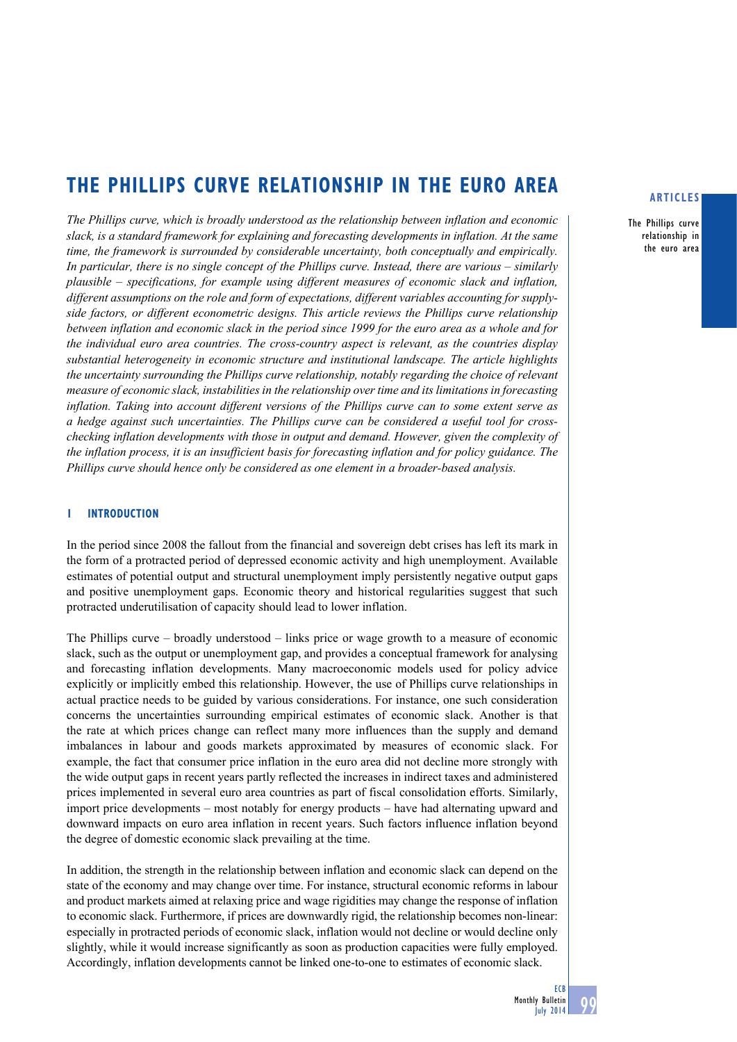# **THE phillips curve relationship in the euro area**

*The Phillips curve, which is broadly understood as the relationship between inflation and economic slack, is a standard framework for explaining and forecasting developments in inflation. At the same time, the framework is surrounded by considerable uncertainty, both conceptually and empirically. In particular, there is no single concept of the Phillips curve. Instead, there are various – similarly plausible – specifications, for example using different measures of economic slack and inflation, different assumptions on the role and form of expectations, different variables accounting for supplyside factors, or different econometric designs. This article reviews the Phillips curve relationship between inflation and economic slack in the period since 1999 for the euro area as a whole and for the individual euro area countries. The cross-country aspect is relevant, as the countries display substantial heterogeneity in economic structure and institutional landscape. The article highlights the uncertainty surrounding the Phillips curve relationship, notably regarding the choice of relevant measure of economic slack, instabilities in the relationship over time and its limitations in forecasting inflation. Taking into account different versions of the Phillips curve can to some extent serve as a hedge against such uncertainties. The Phillips curve can be considered a useful tool for crosschecking inflation developments with those in output and demand. However, given the complexity of the inflation process, it is an insufficient basis for forecasting inflation and for policy guidance. The Phillips curve should hence only be considered as one element in a broader-based analysis.* 

#### **1 Introduction**

In the period since 2008 the fallout from the financial and sovereign debt crises has left its mark in the form of a protracted period of depressed economic activity and high unemployment. Available estimates of potential output and structural unemployment imply persistently negative output gaps and positive unemployment gaps. Economic theory and historical regularities suggest that such protracted underutilisation of capacity should lead to lower inflation.

The Phillips curve – broadly understood – links price or wage growth to a measure of economic slack, such as the output or unemployment gap, and provides a conceptual framework for analysing and forecasting inflation developments. Many macroeconomic models used for policy advice explicitly or implicitly embed this relationship. However, the use of Phillips curve relationships in actual practice needs to be guided by various considerations. For instance, one such consideration concerns the uncertainties surrounding empirical estimates of economic slack. Another is that the rate at which prices change can reflect many more influences than the supply and demand imbalances in labour and goods markets approximated by measures of economic slack. For example, the fact that consumer price inflation in the euro area did not decline more strongly with the wide output gaps in recent years partly reflected the increases in indirect taxes and administered prices implemented in several euro area countries as part of fiscal consolidation efforts. Similarly, import price developments – most notably for energy products – have had alternating upward and downward impacts on euro area inflation in recent years. Such factors influence inflation beyond the degree of domestic economic slack prevailing at the time.

In addition, the strength in the relationship between inflation and economic slack can depend on the state of the economy and may change over time. For instance, structural economic reforms in labour and product markets aimed at relaxing price and wage rigidities may change the response of inflation to economic slack. Furthermore, if prices are downwardly rigid, the relationship becomes non-linear: especially in protracted periods of economic slack, inflation would not decline or would decline only slightly, while it would increase significantly as soon as production capacities were fully employed. Accordingly, inflation developments cannot be linked one-to-one to estimates of economic slack.

#### **articles**

The Phillips curve relationship in the euro area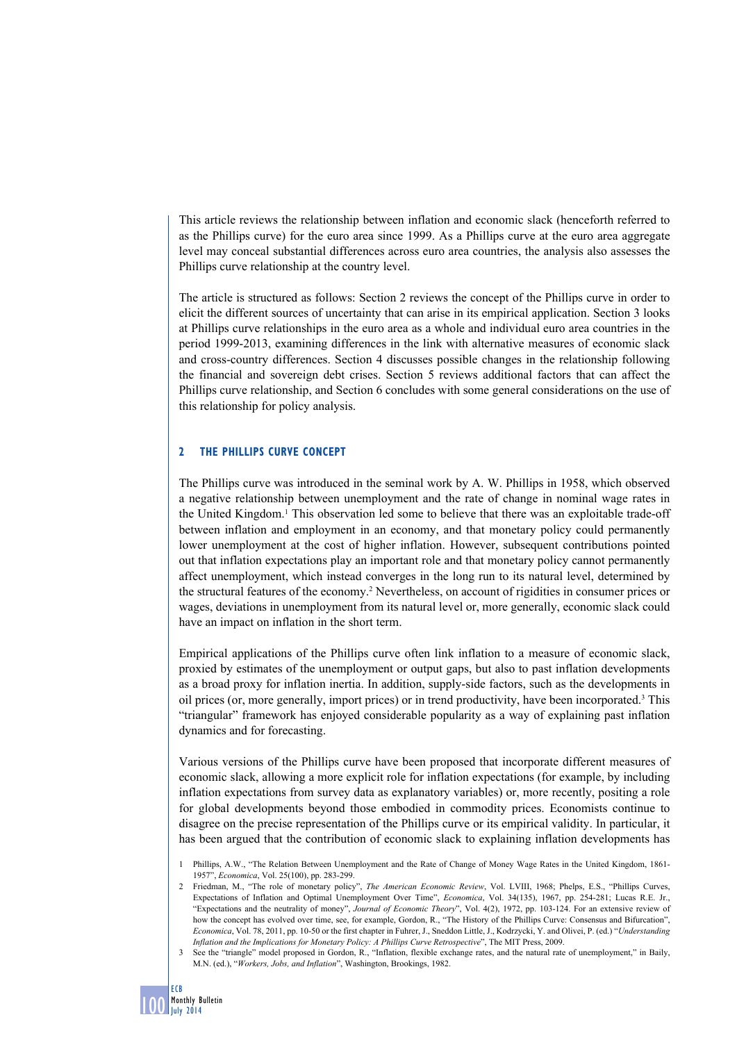This article reviews the relationship between inflation and economic slack (henceforth referred to as the Phillips curve) for the euro area since 1999. As a Phillips curve at the euro area aggregate level may conceal substantial differences across euro area countries, the analysis also assesses the Phillips curve relationship at the country level.

The article is structured as follows: Section 2 reviews the concept of the Phillips curve in order to elicit the different sources of uncertainty that can arise in its empirical application. Section 3 looks at Phillips curve relationships in the euro area as a whole and individual euro area countries in the period 1999-2013, examining differences in the link with alternative measures of economic slack and cross-country differences. Section 4 discusses possible changes in the relationship following the financial and sovereign debt crises. Section 5 reviews additional factors that can affect the Phillips curve relationship, and Section 6 concludes with some general considerations on the use of this relationship for policy analysis.

## **2 The Phillips curve Concept**

The Phillips curve was introduced in the seminal work by A. W. Phillips in 1958, which observed a negative relationship between unemployment and the rate of change in nominal wage rates in the United Kingdom.<sup>1</sup> This observation led some to believe that there was an exploitable trade-off between inflation and employment in an economy, and that monetary policy could permanently lower unemployment at the cost of higher inflation. However, subsequent contributions pointed out that inflation expectations play an important role and that monetary policy cannot permanently affect unemployment, which instead converges in the long run to its natural level, determined by the structural features of the economy.<sup>2</sup> Nevertheless, on account of rigidities in consumer prices or wages, deviations in unemployment from its natural level or, more generally, economic slack could have an impact on inflation in the short term.

Empirical applications of the Phillips curve often link inflation to a measure of economic slack, proxied by estimates of the unemployment or output gaps, but also to past inflation developments as a broad proxy for inflation inertia. In addition, supply-side factors, such as the developments in oil prices (or, more generally, import prices) or in trend productivity, have been incorporated.<sup>3</sup> This "triangular" framework has enjoyed considerable popularity as a way of explaining past inflation dynamics and for forecasting.

Various versions of the Phillips curve have been proposed that incorporate different measures of economic slack, allowing a more explicit role for inflation expectations (for example, by including inflation expectations from survey data as explanatory variables) or, more recently, positing a role for global developments beyond those embodied in commodity prices. Economists continue to disagree on the precise representation of the Phillips curve or its empirical validity. In particular, it has been argued that the contribution of economic slack to explaining inflation developments has

<sup>1</sup> Phillips, A.W., "The Relation Between Unemployment and the Rate of Change of Money Wage Rates in the United Kingdom, 1861- 1957", *Economica*, Vol. 25(100), pp. 283-299.

<sup>2</sup> Friedman, M., "The role of monetary policy", *The American Economic Review*, Vol. LVIII, 1968; Phelps, E.S., "Phillips Curves, Expectations of Inflation and Optimal Unemployment Over Time", *Economica*, Vol. 34(135), 1967, pp. 254-281; Lucas R.E. Jr., "Expectations and the neutrality of money", *Journal of Economic Theory*", Vol. 4(2), 1972, pp. 103-124. For an extensive review of how the concept has evolved over time, see, for example, Gordon, R., "The History of the Phillips Curve: Consensus and Bifurcation", *Economica*, Vol. 78, 2011, pp. 10-50 or the first chapter in Fuhrer, J., Sneddon Little, J., Kodrzycki, Y. and Olivei, P. (ed.) "*Understanding Inflation and the Implications for Monetary Policy: A Phillips Curve Retrospective*", The MIT Press, 2009.

<sup>3</sup> See the "triangle" model proposed in Gordon, R., "Inflation, flexible exchange rates, and the natural rate of unemployment," in Baily, M.N. (ed.), "*Workers, Jobs, and Inflation*", Washington, Brookings, 1982.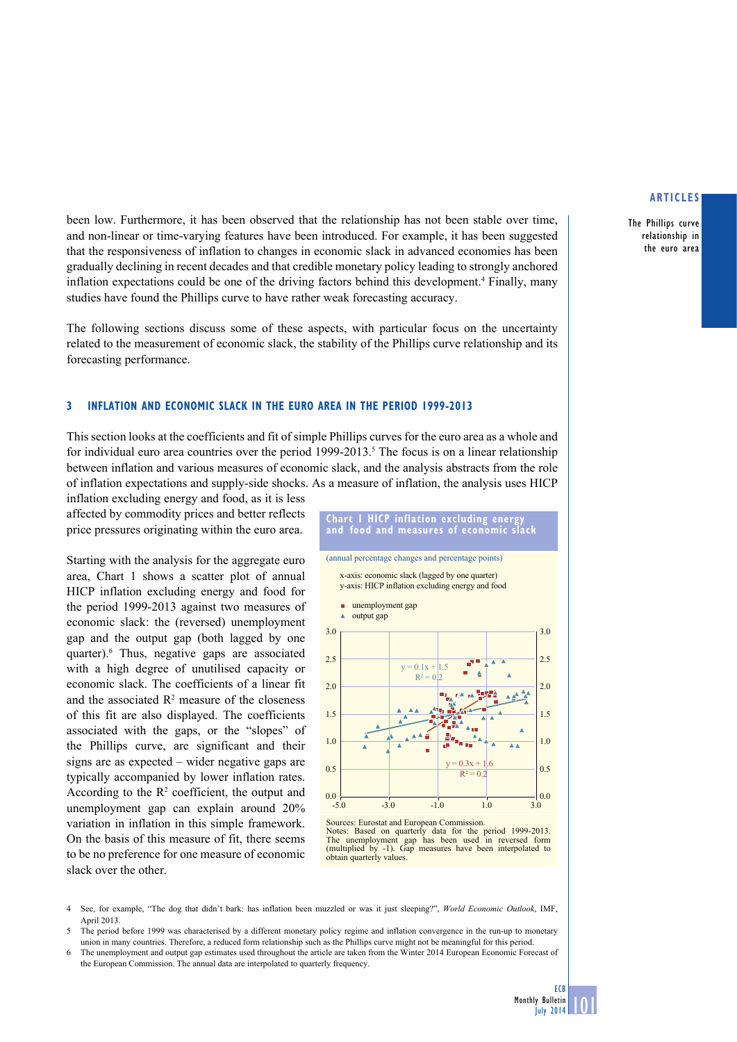The Phillips curve relationship in the euro area

been low. Furthermore, it has been observed that the relationship has not been stable over time, and non-linear or time-varying features have been introduced. For example, it has been suggested that the responsiveness of inflation to changes in economic slack in advanced economies has been gradually declining in recent decades and that credible monetary policy leading to strongly anchored inflation expectations could be one of the driving factors behind this development.4 Finally, many studies have found the Phillips curve to have rather weak forecasting accuracy.

The following sections discuss some of these aspects, with particular focus on the uncertainty related to the measurement of economic slack, the stability of the Phillips curve relationship and its forecasting performance.

#### **3 inflation and economic Slack in the euro area in the period 1999-2013**

This section looks at the coefficients and fit of simple Phillips curves for the euro area as a whole and for individual euro area countries over the period  $1999-2013$ .<sup>5</sup> The focus is on a linear relationship between inflation and various measures of economic slack, and the analysis abstracts from the role of inflation expectations and supply-side shocks. As a measure of inflation, the analysis uses HICP

inflation excluding energy and food, as it is less affected by commodity prices and better reflects price pressures originating within the euro area.

Starting with the analysis for the aggregate euro area, Chart 1 shows a scatter plot of annual HICP inflation excluding energy and food for the period 1999-2013 against two measures of economic slack: the (reversed) unemployment gap and the output gap (both lagged by one quarter).6 Thus, negative gaps are associated with a high degree of unutilised capacity or economic slack. The coefficients of a linear fit and the associated  $\mathbb{R}^2$  measure of the closeness of this fit are also displayed. The coefficients associated with the gaps, or the "slopes" of the Phillips curve, are significant and their signs are as expected – wider negative gaps are typically accompanied by lower inflation rates. According to the  $\mathbb{R}^2$  coefficient, the output and unemployment gap can explain around 20% variation in inflation in this simple framework. On the basis of this measure of fit, there seems to be no preference for one measure of economic slack over the other.



Sources: Eurostat and European Commission. Notes: Based on quarterly data for the period 1999-2013. The unemployment gap has been used in reversed form (multiplied by -1). Gap measures have been interpolated to obtain quarterly values.

4 See, for example, "The dog that didn't bark: has inflation been muzzled or was it just sleeping?", *World Economic Outlook*, IMF, April 2013.

<sup>5</sup> The period before 1999 was characterised by a different monetary policy regime and inflation convergence in the run-up to monetary union in many countries. Therefore, a reduced form relationship such as the Phillips curve might not be meaningful for this period.

<sup>6</sup> The unemployment and output gap estimates used throughout the article are taken from the Winter 2014 European Economic Forecast of the European Commission. The annual data are interpolated to quarterly frequency.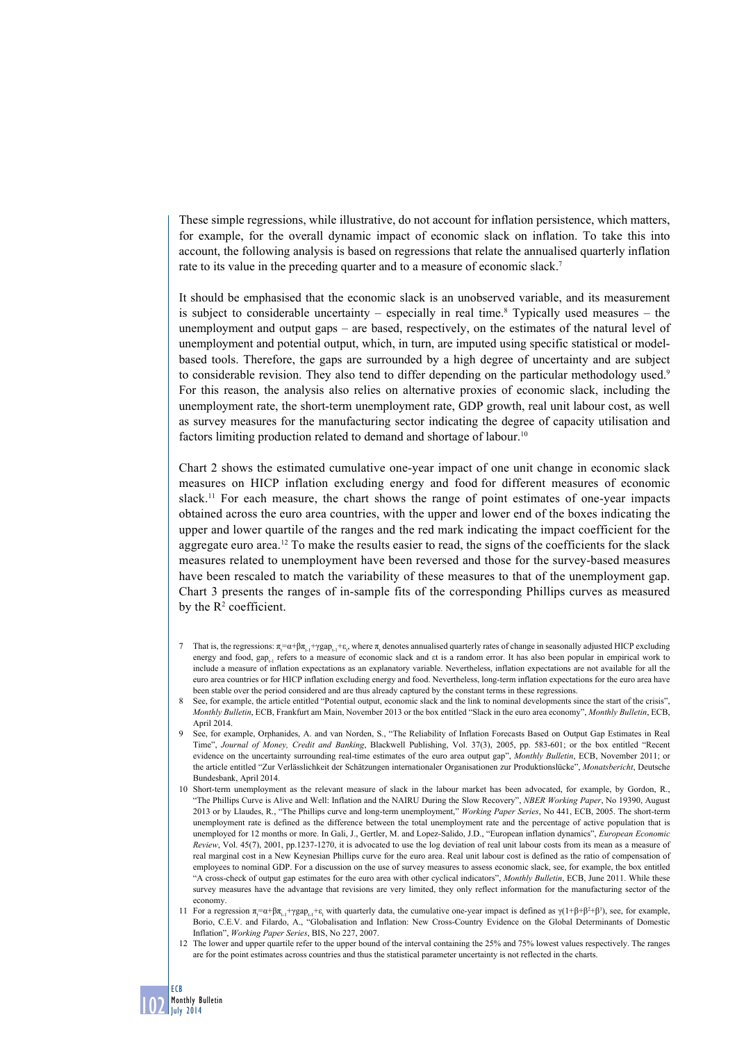These simple regressions, while illustrative, do not account for inflation persistence, which matters, for example, for the overall dynamic impact of economic slack on inflation. To take this into account, the following analysis is based on regressions that relate the annualised quarterly inflation rate to its value in the preceding quarter and to a measure of economic slack.7

It should be emphasised that the economic slack is an unobserved variable, and its measurement is subject to considerable uncertainty  $-$  especially in real time.<sup>8</sup> Typically used measures  $-$  the unemployment and output gaps – are based, respectively, on the estimates of the natural level of unemployment and potential output, which, in turn, are imputed using specific statistical or modelbased tools. Therefore, the gaps are surrounded by a high degree of uncertainty and are subject to considerable revision. They also tend to differ depending on the particular methodology used.<sup>9</sup> For this reason, the analysis also relies on alternative proxies of economic slack, including the unemployment rate, the short-term unemployment rate, GDP growth, real unit labour cost, as well as survey measures for the manufacturing sector indicating the degree of capacity utilisation and factors limiting production related to demand and shortage of labour.<sup>10</sup>

Chart 2 shows the estimated cumulative one-year impact of one unit change in economic slack measures on HICP inflation excluding energy and food for different measures of economic slack.<sup>11</sup> For each measure, the chart shows the range of point estimates of one-year impacts obtained across the euro area countries, with the upper and lower end of the boxes indicating the upper and lower quartile of the ranges and the red mark indicating the impact coefficient for the aggregate euro area.12 To make the results easier to read, the signs of the coefficients for the slack measures related to unemployment have been reversed and those for the survey-based measures have been rescaled to match the variability of these measures to that of the unemployment gap. Chart 3 presents the ranges of in-sample fits of the corresponding Phillips curves as measured by the  $R^2$  coefficient.

- That is, the regressions:  $\pi_i = \alpha + \beta \pi_{i-1} + \gamma g \alpha p_{i-1} + \epsilon_i$ , where  $\pi_i$  denotes annualised quarterly rates of change in seasonally adjusted HICP excluding energy and food, gap, refers to a measure of economic slack and et is a random error. It has also been popular in empirical work to include a measure of inflation expectations as an explanatory variable. Nevertheless, inflation expectations are not available for all the euro area countries or for HICP inflation excluding energy and food. Nevertheless, long-term inflation expectations for the euro area have been stable over the period considered and are thus already captured by the constant terms in these regressions.
- See, for example, the article entitled "Potential output, economic slack and the link to nominal developments since the start of the crisis" *Monthly Bulletin*, ECB, Frankfurt am Main, November 2013 or the box entitled "Slack in the euro area economy", *Monthly Bulletin*, ECB, April 2014.
- 9 See, for example, Orphanides, A. and van Norden, S., "The Reliability of Inflation Forecasts Based on Output Gap Estimates in Real Time", *Journal of Money, Credit and Banking*, Blackwell Publishing, Vol. 37(3), 2005, pp. 583-601; or the box entitled "Recent evidence on the uncertainty surrounding real-time estimates of the euro area output gap", *Monthly Bulletin*, ECB, November 2011; or the article entitled "Zur Verlässlichkeit der Schätzungen internationaler Organisationen zur Produktionslücke", *Monatsbericht*, Deutsche Bundesbank, April 2014.
- 10 Short-term unemployment as the relevant measure of slack in the labour market has been advocated, for example, by Gordon, R., "The Phillips Curve is Alive and Well: Inflation and the NAIRU During the Slow Recovery", *NBER Working Paper*, No 19390, August 2013 or by Llaudes, R., "The Phillips curve and long-term unemployment," *Working Paper Series*, No 441, ECB, 2005. The short-term unemployment rate is defined as the difference between the total unemployment rate and the percentage of active population that is unemployed for 12 months or more. In Gali, J., Gertler, M. and Lopez-Salido, J.D., "European inflation dynamics", *European Economic Review*, Vol. 45(7), 2001, pp.1237-1270, it is advocated to use the log deviation of real unit labour costs from its mean as a measure of real marginal cost in a New Keynesian Phillips curve for the euro area. Real unit labour cost is defined as the ratio of compensation of employees to nominal GDP. For a discussion on the use of survey measures to assess economic slack, see, for example, the box entitled "A cross-check of output gap estimates for the euro area with other cyclical indicators", *Monthly Bulletin*, ECB, June 2011. While these survey measures have the advantage that revisions are very limited, they only reflect information for the manufacturing sector of the economy.
- 11 For a regression  $π<sub>i</sub> = α + βπ<sub>i</sub> + γ$ gap<sub>t-1</sub>+ε<sub>t</sub> with quarterly data, the cumulative one-year impact is defined as  $γ(1 + β + β<sup>2</sup> + β<sup>3</sup>)$ , see, for example, Borio, C.E.V. and Filardo, A., "Globalisation and Inflation: New Cross-Country Evidence on the Global Determinants of Domestic Inflation", *Working Paper Series*, BIS, No 227, 2007.
- 12 The lower and upper quartile refer to the upper bound of the interval containing the 25% and 75% lowest values respectively. The ranges are for the point estimates across countries and thus the statistical parameter uncertainty is not reflected in the charts.

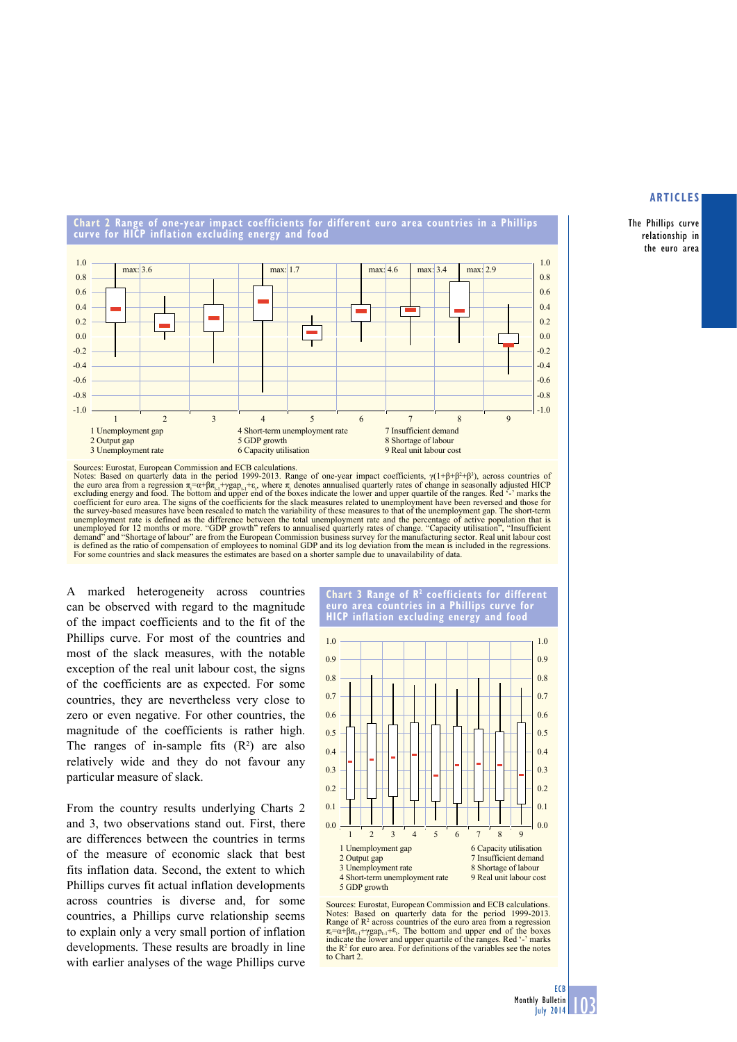The Phillips curve relationship in the euro area

**Chart 2 Range of one-year impact coefficients for different euro area countries in a Phillips curve for hiCp inflation excluding energy and food**



Notes: Based on quarterly data in the period 1999-2013. Range of one-year impact coefficients,  $\gamma(1+\beta+\beta^2+\beta^3)$ , across countries of the euro area from a regression  $\pi_i = \alpha + \beta \pi_{i,1} + \gamma \text{gap}_{i,1} + \varepsilon$ , where  $\pi_i$  denotes annualised quarterly rates of change in seasonally adjusted HICP excluding energy and food. The bottom and upper end of the boxes in coefficient for euro area. The signs of the coefficients for the slack measures related to unemployment have been reversed and those for<br>the survey-based measures have been rescaled to match the variability of these measur unemployment rate is defined as the difference between the total unemployment rate and the percentage of active population that is unemployed for 12 months or more. "GDP growth" refers to annualised quarterly rates of change. "Capacity utilisation", "Insufficient<br>demand" and "Shortage of labour" are from the European Commission business survey for the For some countries and slack measures the estimates are based on a shorter sample due to unavailability of data.

A marked heterogeneity across countries can be observed with regard to the magnitude of the impact coefficients and to the fit of the Phillips curve. For most of the countries and most of the slack measures, with the notable exception of the real unit labour cost, the signs of the coefficients are as expected. For some countries, they are nevertheless very close to zero or even negative. For other countries, the magnitude of the coefficients is rather high. The ranges of in-sample fits  $(R^2)$  are also relatively wide and they do not favour any particular measure of slack.

From the country results underlying Charts 2 and 3, two observations stand out. First, there are differences between the countries in terms of the measure of economic slack that best fits inflation data. Second, the extent to which Phillips curves fit actual inflation developments across countries is diverse and, for some countries, a Phillips curve relationship seems to explain only a very small portion of inflation developments. These results are broadly in line with earlier analyses of the wage Phillips curve





Sources: Eurostat, European Commission and ECB calculations. Notes: Based on quarterly data for the period 1999-2013.<br>Range of R<sup>2</sup> across countries of the euro area from a regression  $\pi_i = \alpha + \beta \pi_{i-1} + \gamma g a p_{i-1} + \varepsilon_i$ . The bottom and upper end of the boxes indicate the lower and upper quartile of the ranges. Red  $\cdot$ -' marks the R<sup>2</sup> for euro area. For definitions of the variables see the notes to Chart 2.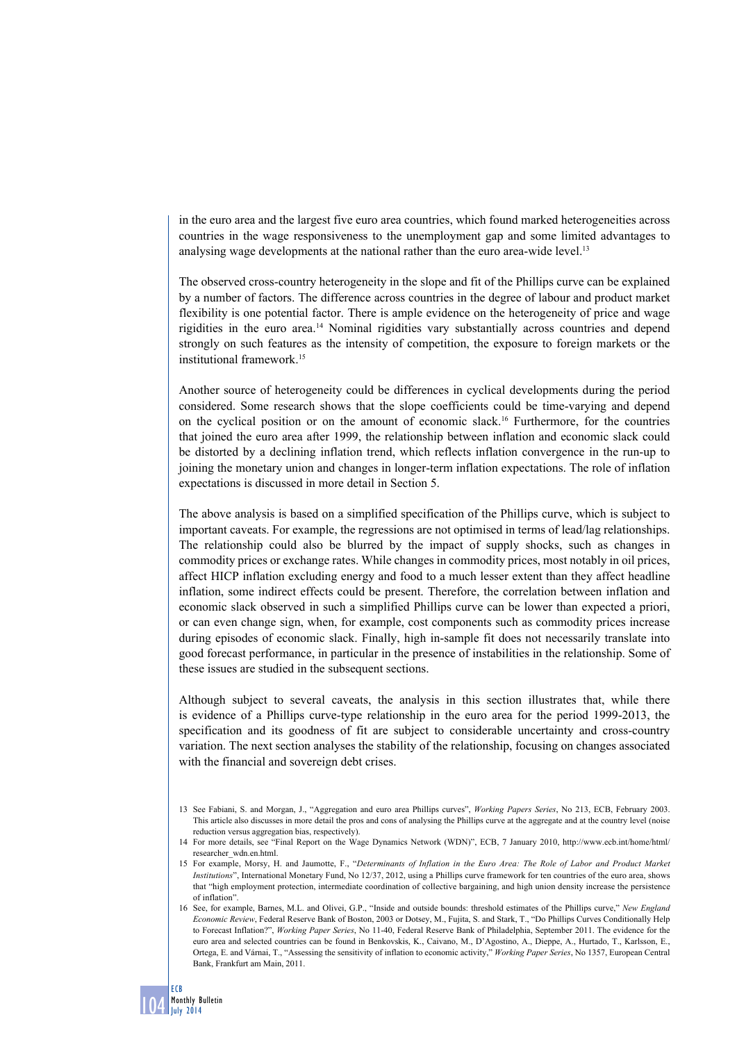in the euro area and the largest five euro area countries, which found marked heterogeneities across countries in the wage responsiveness to the unemployment gap and some limited advantages to analysing wage developments at the national rather than the euro area-wide level.<sup>13</sup>

The observed cross-country heterogeneity in the slope and fit of the Phillips curve can be explained by a number of factors. The difference across countries in the degree of labour and product market flexibility is one potential factor. There is ample evidence on the heterogeneity of price and wage rigidities in the euro area.14 Nominal rigidities vary substantially across countries and depend strongly on such features as the intensity of competition, the exposure to foreign markets or the institutional framework.15

Another source of heterogeneity could be differences in cyclical developments during the period considered. Some research shows that the slope coefficients could be time-varying and depend on the cyclical position or on the amount of economic slack.16 Furthermore, for the countries that joined the euro area after 1999, the relationship between inflation and economic slack could be distorted by a declining inflation trend, which reflects inflation convergence in the run-up to joining the monetary union and changes in longer-term inflation expectations. The role of inflation expectations is discussed in more detail in Section 5.

The above analysis is based on a simplified specification of the Phillips curve, which is subject to important caveats. For example, the regressions are not optimised in terms of lead/lag relationships. The relationship could also be blurred by the impact of supply shocks, such as changes in commodity prices or exchange rates. While changes in commodity prices, most notably in oil prices, affect HICP inflation excluding energy and food to a much lesser extent than they affect headline inflation, some indirect effects could be present. Therefore, the correlation between inflation and economic slack observed in such a simplified Phillips curve can be lower than expected a priori, or can even change sign, when, for example, cost components such as commodity prices increase during episodes of economic slack. Finally, high in-sample fit does not necessarily translate into good forecast performance, in particular in the presence of instabilities in the relationship. Some of these issues are studied in the subsequent sections.

Although subject to several caveats, the analysis in this section illustrates that, while there is evidence of a Phillips curve-type relationship in the euro area for the period 1999-2013, the specification and its goodness of fit are subject to considerable uncertainty and cross-country variation. The next section analyses the stability of the relationship, focusing on changes associated with the financial and sovereign debt crises.

<sup>13</sup> See Fabiani, S. and Morgan, J., "Aggregation and euro area Phillips curves", *Working Papers Series*, No 213, ECB, February 2003. This article also discusses in more detail the pros and cons of analysing the Phillips curve at the aggregate and at the country level (noise reduction versus aggregation bias, respectively).

<sup>14</sup> For more details, see "Final Report on the Wage Dynamics Network (WDN)", ECB, 7 January 2010, [http://www.ecb.int/home/html/](http://www.ecb.int/home/html/researcher_wdn.en.html) [researcher\\_wdn.en.html](http://www.ecb.int/home/html/researcher_wdn.en.html).

<sup>15</sup> For example, Morsy, H. and Jaumotte, F., "*Determinants of Inflation in the Euro Area: The Role of Labor and Product Market Institutions*", International Monetary Fund, No 12/37, 2012, using a Phillips curve framework for ten countries of the euro area, shows that "high employment protection, intermediate coordination of collective bargaining, and high union density increase the persistence of inflation".

<sup>16</sup> See, for example, Barnes, M.L. and Olivei, G.P., "Inside and outside bounds: threshold estimates of the Phillips curve," *New England Economic Review*, Federal Reserve Bank of Boston, 2003 or Dotsey, M., Fujita, S. and Stark, T., "Do Phillips Curves Conditionally Help to Forecast Inflation?", *Working Paper Series*, No 11-40, Federal Reserve Bank of Philadelphia, September 2011. The evidence for the euro area and selected countries can be found in Benkovskis, K., Caivano, M., D'Agostino, A., Dieppe, A., Hurtado, T., Karlsson, E., Ortega, E. and Várnai, T., "Assessing the sensitivity of inflation to economic activity," *Working Paper Series*, No 1357, European Central Bank, Frankfurt am Main, 2011.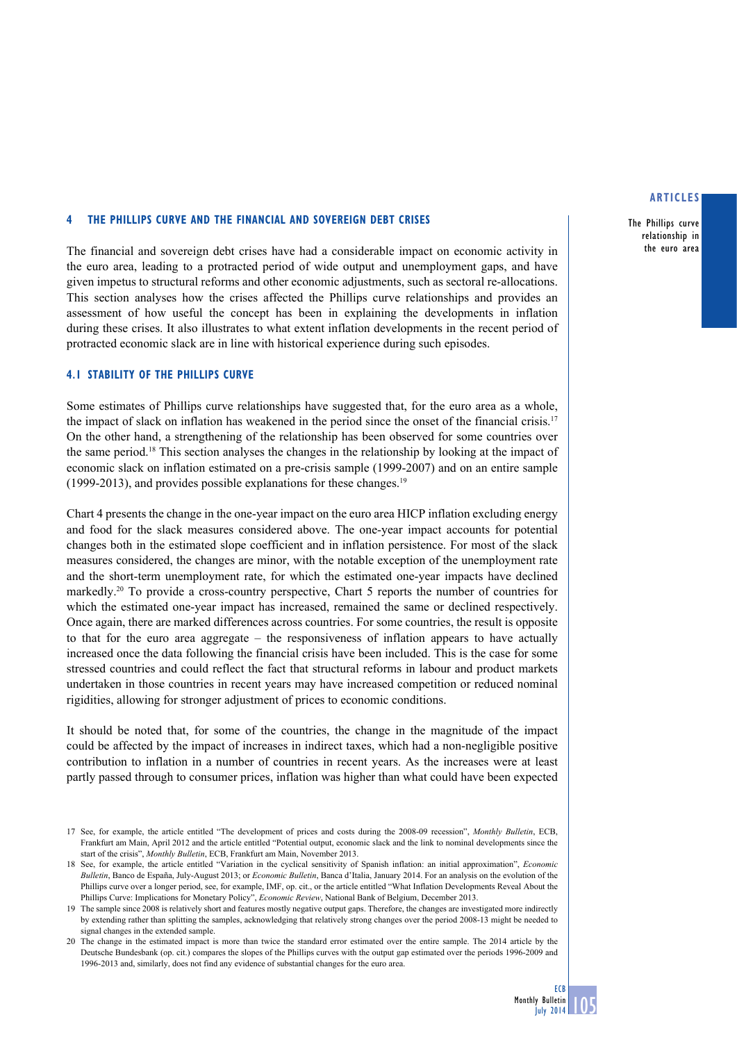#### **4 the Phillips curve and the financial and sovereign debt crises**

The financial and sovereign debt crises have had a considerable impact on economic activity in the euro area, leading to a protracted period of wide output and unemployment gaps, and have given impetus to structural reforms and other economic adjustments, such as sectoral re-allocations. This section analyses how the crises affected the Phillips curve relationships and provides an assessment of how useful the concept has been in explaining the developments in inflation during these crises. It also illustrates to what extent inflation developments in the recent period of protracted economic slack are in line with historical experience during such episodes.

## **4.1 stability of the phillips curve**

Some estimates of Phillips curve relationships have suggested that, for the euro area as a whole, the impact of slack on inflation has weakened in the period since the onset of the financial crisis.17 On the other hand, a strengthening of the relationship has been observed for some countries over the same period.18 This section analyses the changes in the relationship by looking at the impact of economic slack on inflation estimated on a pre-crisis sample (1999-2007) and on an entire sample (1999-2013), and provides possible explanations for these changes.<sup>19</sup>

Chart 4 presents the change in the one-year impact on the euro area HICP inflation excluding energy and food for the slack measures considered above. The one-year impact accounts for potential changes both in the estimated slope coefficient and in inflation persistence. For most of the slack measures considered, the changes are minor, with the notable exception of the unemployment rate and the short-term unemployment rate, for which the estimated one-year impacts have declined markedly.<sup>20</sup> To provide a cross-country perspective, Chart 5 reports the number of countries for which the estimated one-year impact has increased, remained the same or declined respectively. Once again, there are marked differences across countries. For some countries, the result is opposite to that for the euro area aggregate – the responsiveness of inflation appears to have actually increased once the data following the financial crisis have been included. This is the case for some stressed countries and could reflect the fact that structural reforms in labour and product markets undertaken in those countries in recent years may have increased competition or reduced nominal rigidities, allowing for stronger adjustment of prices to economic conditions.

It should be noted that, for some of the countries, the change in the magnitude of the impact could be affected by the impact of increases in indirect taxes, which had a non-negligible positive contribution to inflation in a number of countries in recent years. As the increases were at least partly passed through to consumer prices, inflation was higher than what could have been expected

#### **articles**

The Phillips curve relationship in the euro area

<sup>17</sup> See, for example, the article entitled "The development of prices and costs during the 2008-09 recession", *Monthly Bulletin*, ECB, Frankfurt am Main, April 2012 and the article entitled "Potential output, economic slack and the link to nominal developments since the start of the crisis", *Monthly Bulletin*, ECB, Frankfurt am Main, November 2013.

<sup>18</sup> See, for example, the article entitled "Variation in the cyclical sensitivity of Spanish inflation: an initial approximation", *Economic Bulletin*, Banco de España, July-August 2013; or *Economic Bulletin*, Banca d'Italia, January 2014. For an analysis on the evolution of the Phillips curve over a longer period, see, for example, IMF, op. cit., or the article entitled "What Inflation Developments Reveal About the Phillips Curve: Implications for Monetary Policy", *Economic Review*, National Bank of Belgium, December 2013.

<sup>19</sup> The sample since 2008 is relatively short and features mostly negative output gaps. Therefore, the changes are investigated more indirectly by extending rather than splitting the samples, acknowledging that relatively strong changes over the period 2008-13 might be needed to signal changes in the extended sample.

<sup>20</sup> The change in the estimated impact is more than twice the standard error estimated over the entire sample. The 2014 article by the Deutsche Bundesbank (op. cit.) compares the slopes of the Phillips curves with the output gap estimated over the periods 1996-2009 and 1996-2013 and, similarly, does not find any evidence of substantial changes for the euro area.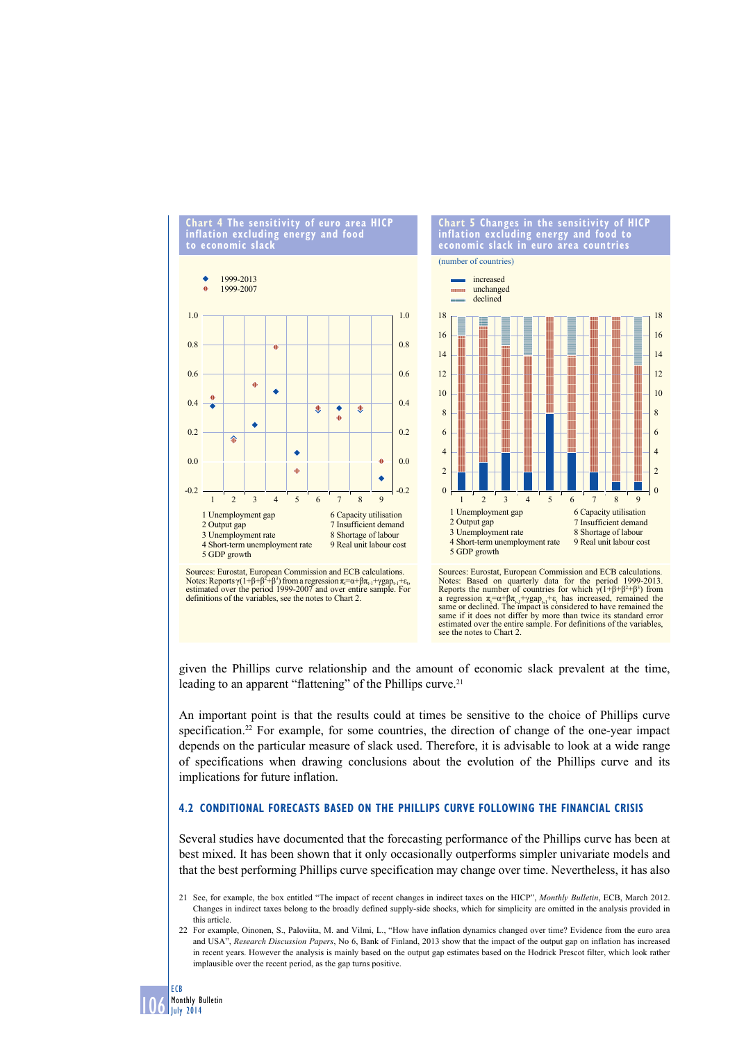



Sources: Eurostat, European Commission and ECB calculations.<br>Notes: Reports γ(1+β+β<sup>2</sup>+β<sup>3</sup>) from a regression π<sub>τ</sub>=α+βπ<sub>t-1</sub>+γgap<sub>t-1</sub>+ε<sub>t</sub>,<br>estimated over the period 1999-2007 and over entire sample. For definitions of the variables, see the notes to Chart 2.

Sources: Eurostat, European Commission and ECB calculations.<br>Notes: Based on quarterly data for the period 1999-2013.<br>Reports the number of countries for which  $\gamma(1+\beta+\beta^2+\beta^3)$  from a regression  $π<sub>i</sub> = α + βπ<sub>i,j</sub> + γ$ gap<sub>ta</sub> $+ε<sub>i</sub>$  has increased, remained the same or declined. The impact is considered to have remained the same if it does not differ by more than twice its standard error estimated over the entire sample. For definitions of the variables, see the notes to Chart 2.

given the Phillips curve relationship and the amount of economic slack prevalent at the time, leading to an apparent "flattening" of the Phillips curve.<sup>21</sup>

An important point is that the results could at times be sensitive to the choice of Phillips curve specification.<sup>22</sup> For example, for some countries, the direction of change of the one-year impact depends on the particular measure of slack used. Therefore, it is advisable to look at a wide range of specifications when drawing conclusions about the evolution of the Phillips curve and its implications for future inflation.

## **4.2 conditional forecasts based on the phillips curve following the financial crisis**

Several studies have documented that the forecasting performance of the Phillips curve has been at best mixed. It has been shown that it only occasionally outperforms simpler univariate models and that the best performing Phillips curve specification may change over time. Nevertheless, it has also

<sup>21</sup> See, for example, the box entitled "The impact of recent changes in indirect taxes on the HICP", *Monthly Bulletin*, ECB, March 2012. Changes in indirect taxes belong to the broadly defined supply-side shocks, which for simplicity are omitted in the analysis provided in this article.

<sup>22</sup> For example, Oinonen, S., Paloviita, M. and Vilmi, L., "How have inflation dynamics changed over time? Evidence from the euro area and USA", *Research Discussion Papers*, No 6, Bank of Finland, 2013 show that the impact of the output gap on inflation has increased in recent years. However the analysis is mainly based on the output gap estimates based on the Hodrick Prescot filter, which look rather implausible over the recent period, as the gap turns positive.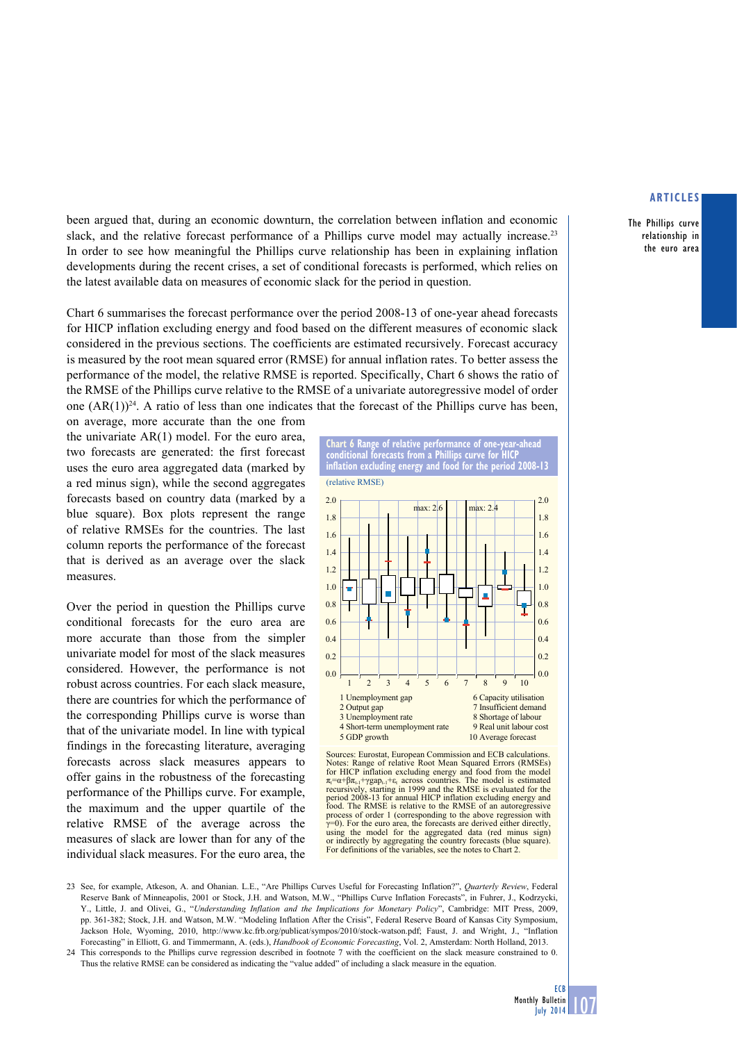The Phillips curve relationship in the euro area

been argued that, during an economic downturn, the correlation between inflation and economic slack, and the relative forecast performance of a Phillips curve model may actually increase.<sup>23</sup> In order to see how meaningful the Phillips curve relationship has been in explaining inflation developments during the recent crises, a set of conditional forecasts is performed, which relies on the latest available data on measures of economic slack for the period in question.

Chart 6 summarises the forecast performance over the period 2008-13 of one-year ahead forecasts for HICP inflation excluding energy and food based on the different measures of economic slack considered in the previous sections. The coefficients are estimated recursively. Forecast accuracy is measured by the root mean squared error (RMSE) for annual inflation rates. To better assess the performance of the model, the relative RMSE is reported. Specifically, Chart 6 shows the ratio of the RMSE of the Phillips curve relative to the RMSE of a univariate autoregressive model of order one  $(AR(1))^{24}$ . A ratio of less than one indicates that the forecast of the Phillips curve has been, on average, more accurate than the one from

the univariate AR(1) model. For the euro area, two forecasts are generated: the first forecast uses the euro area aggregated data (marked by a red minus sign), while the second aggregates forecasts based on country data (marked by a blue square). Box plots represent the range of relative RMSEs for the countries. The last column reports the performance of the forecast that is derived as an average over the slack measures.

Over the period in question the Phillips curve conditional forecasts for the euro area are more accurate than those from the simpler univariate model for most of the slack measures considered. However, the performance is not robust across countries. For each slack measure, there are countries for which the performance of the corresponding Phillips curve is worse than that of the univariate model. In line with typical findings in the forecasting literature, averaging forecasts across slack measures appears to offer gains in the robustness of the forecasting performance of the Phillips curve. For example, the maximum and the upper quartile of the relative RMSE of the average across the measures of slack are lower than for any of the individual slack measures. For the euro area, the



Sources: Eurostat, European Commission and ECB calculations. Notes: Range of relative Root Mean Squared Errors (RMSEs) for HICP inflation excluding energy and food from the model  $π<sub>i</sub> = α + βπ<sub>i-1</sub> + γ$ gap<sub>t-1</sub>+ε<sub>t</sub> across countries. The model is estimated recursively, starting in 1999 and the RMSE is evaluated for the period 2008-13 for annual HICP inflation excluding energy and food. The RMSE is relative to the RMSE of an autoregressive process of order 1 (corresponding to the above regression with  $y=0$ ). For the euro area, the forecasts are derived either directly using the model for the aggregated data (red minus sign) or indirectly by aggregating the country forecasts (blue square). For definitions of the variables, see the notes to Chart 2.

23 See, for example, Atkeson, A. and Ohanian. L.E., "Are Phillips Curves Useful for Forecasting Inflation?", *Quarterly Review*, Federal Reserve Bank of Minneapolis, 2001 or Stock, J.H. and Watson, M.W., "Phillips Curve Inflation Forecasts", in Fuhrer, J., Kodrzycki, Y., Little, J. and Olivei, G., "*Understanding Inflation and the Implications for Monetary Policy*", Cambridge: MIT Press, 2009, pp. 361-382; Stock, J.H. and Watson, M.W. "Modeling Inflation After the Crisis", Federal Reserve Board of Kansas City Symposium, Jackson Hole, Wyoming, 2010, [http://www.kc.frb.org/publicat/sympos/2010/stock-watson.pdf;](http://www.kc.frb.org/publicat/sympos/2010/stock-watson.pdf) Faust, J. and Wright, J., "Inflation Forecasting" in Elliott, G. and Timmermann, A. (eds.), *Handbook of Economic Forecasting*, Vol. 2, Amsterdam: North Holland, 2013.

24 This corresponds to the Phillips curve regression described in footnote 7 with the coefficient on the slack measure constrained to 0. Thus the relative RMSE can be considered as indicating the "value added" of including a slack measure in the equation.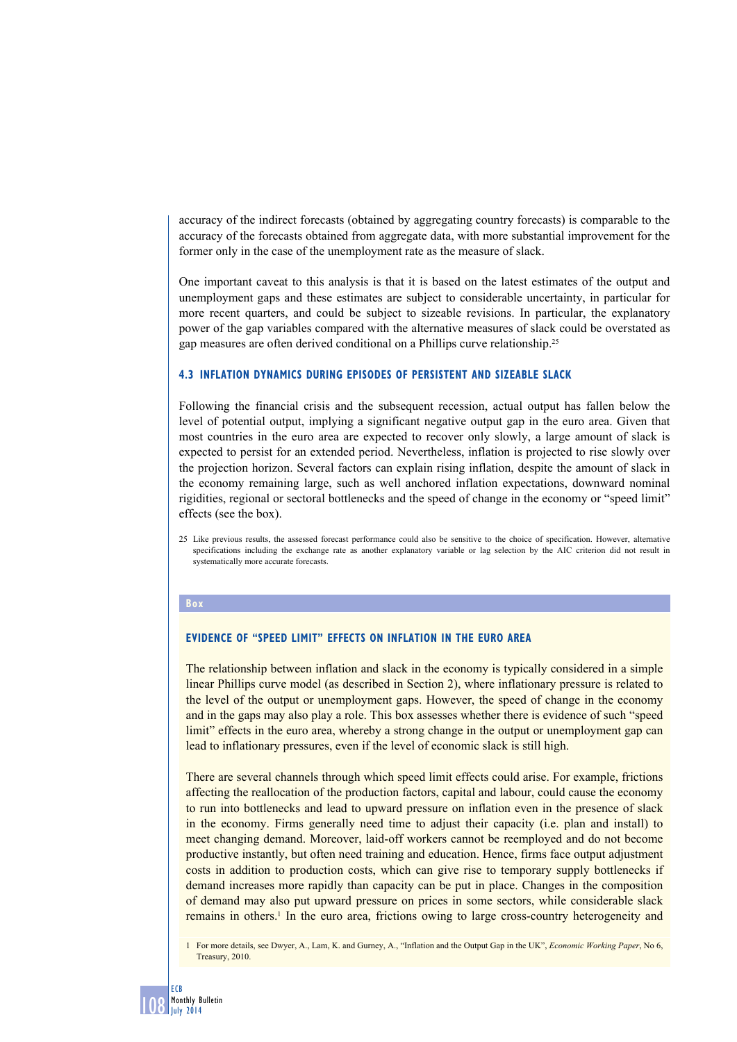accuracy of the indirect forecasts (obtained by aggregating country forecasts) is comparable to the accuracy of the forecasts obtained from aggregate data, with more substantial improvement for the former only in the case of the unemployment rate as the measure of slack.

One important caveat to this analysis is that it is based on the latest estimates of the output and unemployment gaps and these estimates are subject to considerable uncertainty, in particular for more recent quarters, and could be subject to sizeable revisions. In particular, the explanatory power of the gap variables compared with the alternative measures of slack could be overstated as gap measures are often derived conditional on a Phillips curve relationship.25

## **4.3 Inflation dynamics during episodes of persistent and sizeable slack**

Following the financial crisis and the subsequent recession, actual output has fallen below the level of potential output, implying a significant negative output gap in the euro area. Given that most countries in the euro area are expected to recover only slowly, a large amount of slack is expected to persist for an extended period. Nevertheless, inflation is projected to rise slowly over the projection horizon. Several factors can explain rising inflation, despite the amount of slack in the economy remaining large, such as well anchored inflation expectations, downward nominal rigidities, regional or sectoral bottlenecks and the speed of change in the economy or "speed limit" effects (see the box).

25 Like previous results, the assessed forecast performance could also be sensitive to the choice of specification. However, alternative specifications including the exchange rate as another explanatory variable or lag selection by the AIC criterion did not result in systematically more accurate forecasts.

#### **Box**

#### **Evidence of "speed limit" effects on inflation in the euro area**

The relationship between inflation and slack in the economy is typically considered in a simple linear Phillips curve model (as described in Section 2), where inflationary pressure is related to the level of the output or unemployment gaps. However, the speed of change in the economy and in the gaps may also play a role. This box assesses whether there is evidence of such "speed limit" effects in the euro area, whereby a strong change in the output or unemployment gap can lead to inflationary pressures, even if the level of economic slack is still high.

There are several channels through which speed limit effects could arise. For example, frictions affecting the reallocation of the production factors, capital and labour, could cause the economy to run into bottlenecks and lead to upward pressure on inflation even in the presence of slack in the economy. Firms generally need time to adjust their capacity (i.e. plan and install) to meet changing demand. Moreover, laid-off workers cannot be reemployed and do not become productive instantly, but often need training and education. Hence, firms face output adjustment costs in addition to production costs, which can give rise to temporary supply bottlenecks if demand increases more rapidly than capacity can be put in place. Changes in the composition of demand may also put upward pressure on prices in some sectors, while considerable slack remains in others.<sup>1</sup> In the euro area, frictions owing to large cross-country heterogeneity and

1 For more details, see Dwyer, A., Lam, K. and Gurney, A., "Inflation and the Output Gap in the UK", *Economic Working Paper*, No 6, Treasury, 2010.

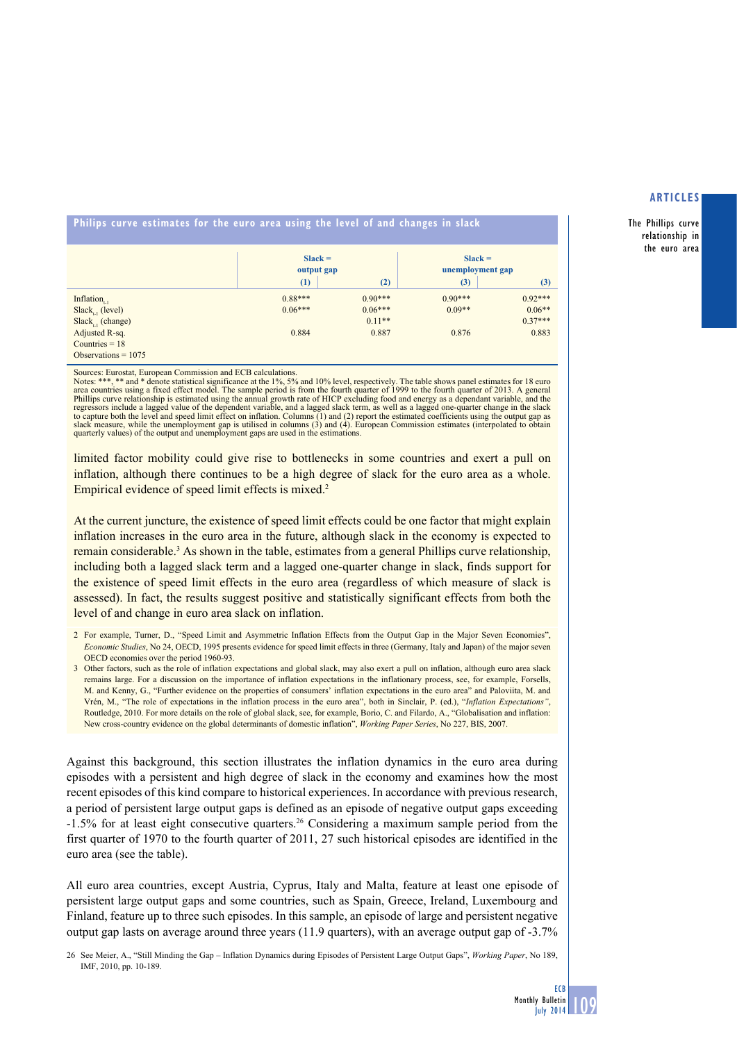The Phillips curve relationship in the euro area

## **philips curve estimates for the euro area using the level of and changes in slack**

|                                          | $Slack =$<br>output gap |           | $Slack =$<br>unemployment gap |           |
|------------------------------------------|-------------------------|-----------|-------------------------------|-----------|
|                                          | (1)                     | (2)       | (3)                           | (3)       |
| Inflation <sub><math>n_{11}</math></sub> | $0.88***$               | $0.90***$ | $0.90***$                     | $0.92***$ |
| $Slack_{t-1}$ (level)                    | $0.06***$               | $0.06***$ | $0.09**$                      | $0.06**$  |
| $Slack_{t_{1}}$ (change)                 |                         | $0.11**$  |                               | $0.37***$ |
| Adjusted R-sq.                           | 0.884                   | 0.887     | 0.876                         | 0.883     |
| Countries $= 18$                         |                         |           |                               |           |
| Observations $= 1075$                    |                         |           |                               |           |

Sources: Eurostat, European Commission and ECB calculations.

Notes: \*\*\*, \*\* and \* denote statistical significance at the 1%, 5% and 10% level, respectively. The table shows panel estimates for 18 euro<br>area countries using a fixed effect model. The sample period is from the fourth qu Phillips curve relationship is estimated using the annual growth rate of HICP excluding food and energy as a dependant variable, and the<br>regressors include a lagged value of the dependent variable, and a lagged slack term, slack measure, while the unemployment gap is utilised in columns (3) and (4). European Commission estimates (interpolated to obtain quarterly values) of the output and unemployment gaps are used in the estimations.

limited factor mobility could give rise to bottlenecks in some countries and exert a pull on inflation, although there continues to be a high degree of slack for the euro area as a whole. Empirical evidence of speed limit effects is mixed.<sup>2</sup>

At the current juncture, the existence of speed limit effects could be one factor that might explain inflation increases in the euro area in the future, although slack in the economy is expected to remain considerable.<sup>3</sup> As shown in the table, estimates from a general Phillips curve relationship, including both a lagged slack term and a lagged one-quarter change in slack, finds support for the existence of speed limit effects in the euro area (regardless of which measure of slack is assessed). In fact, the results suggest positive and statistically significant effects from both the level of and change in euro area slack on inflation.

2 For example, Turner, D., "Speed Limit and Asymmetric Inflation Effects from the Output Gap in the Major Seven Economies", *Economic Studies*, No 24, OECD, 1995 presents evidence for speed limit effects in three (Germany, Italy and Japan) of the major seven OECD economies over the period 1960-93.

3 Other factors, such as the role of inflation expectations and global slack, may also exert a pull on inflation, although euro area slack remains large. For a discussion on the importance of inflation expectations in the inflationary process, see, for example, Forsells, M. and Kenny, G., "Further evidence on the properties of consumers' inflation expectations in the euro area" and Paloviita, M. and Vrén, M., "The role of expectations in the inflation process in the euro area", both in Sinclair, P. (ed.), "*Inflation Expectations"*, Routledge, 2010. For more details on the role of global slack, see, for example, Borio, C. and Filardo, A., "Globalisation and inflation: New cross-country evidence on the global determinants of domestic inflation", *Working Paper Series*, No 227, BIS, 2007.

Against this background, this section illustrates the inflation dynamics in the euro area during episodes with a persistent and high degree of slack in the economy and examines how the most recent episodes of this kind compare to historical experiences. In accordance with previous research, a period of persistent large output gaps is defined as an episode of negative output gaps exceeding -1.5% for at least eight consecutive quarters.26 Considering a maximum sample period from the first quarter of 1970 to the fourth quarter of 2011, 27 such historical episodes are identified in the euro area (see the table).

All euro area countries, except Austria, Cyprus, Italy and Malta, feature at least one episode of persistent large output gaps and some countries, such as Spain, Greece, Ireland, Luxembourg and Finland, feature up to three such episodes. In this sample, an episode of large and persistent negative output gap lasts on average around three years (11.9 quarters), with an average output gap of -3.7%

26 See Meier, A., "Still Minding the Gap – Inflation Dynamics during Episodes of Persistent Large Output Gaps", *Working Paper*, No 189, IMF, 2010, pp. 10-189.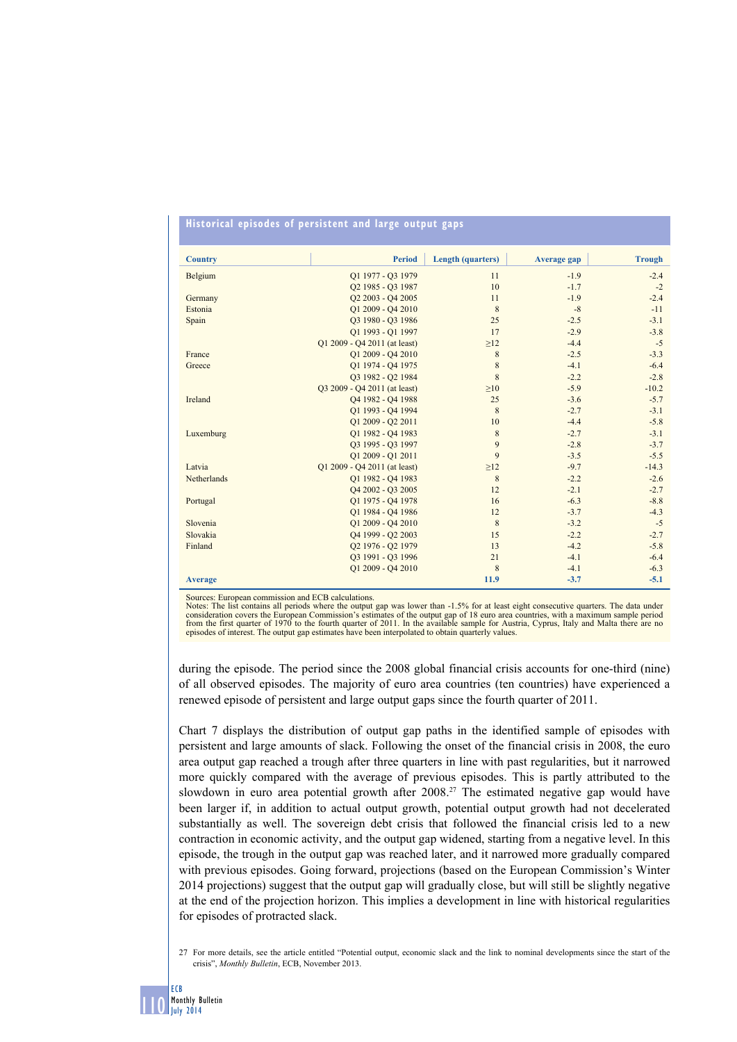## **historical episodes of persistent and large output gaps**

| <b>Country</b> | <b>Period</b>                             | <b>Length (quarters)</b> | <b>Average gap</b> | <b>Trough</b> |
|----------------|-------------------------------------------|--------------------------|--------------------|---------------|
| Belgium        | O1 1977 - O3 1979                         | 11                       | $-1.9$             | $-2.4$        |
|                | Q2 1985 - Q3 1987                         | 10                       | $-1.7$             | $-2$          |
| Germany        | Q2 2003 - Q4 2005                         | 11                       | $-1.9$             | $-2.4$        |
| Estonia        | Q1 2009 - Q4 2010                         | 8                        | $-8$               | $-11$         |
| Spain          | O3 1980 - O3 1986                         | 25                       | $-2.5$             | $-3.1$        |
|                | Q1 1993 - Q1 1997                         | 17                       | $-2.9$             | $-3.8$        |
|                | O1 2009 - O4 2011 (at least)              | $\geq$ 12                | $-4.4$             | $-5$          |
| France         | Q1 2009 - Q4 2010                         | 8                        | $-2.5$             | $-3.3$        |
| Greece         | O1 1974 - O4 1975                         | $\,$ 8 $\,$              | $-4.1$             | $-6.4$        |
|                | O3 1982 - O2 1984                         | 8                        | $-2.2$             | $-2.8$        |
|                | Q3 2009 - Q4 2011 (at least)              | $\geq 10$                | $-5.9$             | $-10.2$       |
| Ireland        | Q4 1982 - Q4 1988                         | 25                       | $-3.6$             | $-5.7$        |
|                | O1 1993 - O4 1994                         | 8                        | $-2.7$             | $-3.1$        |
|                | Q1 2009 - Q2 2011                         | 10                       | $-4.4$             | $-5.8$        |
| Luxemburg      | O1 1982 - O4 1983                         | 8                        | $-2.7$             | $-3.1$        |
|                | Q3 1995 - Q3 1997                         | 9                        | $-2.8$             | $-3.7$        |
|                | O1 2009 - O1 2011                         | 9                        | $-3.5$             | $-5.5$        |
| Latvia         | Q1 2009 - Q4 2011 (at least)              | $\geq$ 12                | $-9.7$             | $-14.3$       |
| Netherlands    | O1 1982 - O4 1983                         | 8                        | $-2.2$             | $-2.6$        |
|                | Q4 2002 - Q3 2005                         | 12                       | $-2.1$             | $-2.7$        |
| Portugal       | O1 1975 - O4 1978                         | 16                       | $-6.3$             | $-8.8$        |
|                | O1 1984 - O4 1986                         | 12                       | $-3.7$             | $-4.3$        |
| Slovenia       | Q1 2009 - Q4 2010                         | 8                        | $-3.2$             | $-5$          |
| Slovakia       | Q4 1999 - Q2 2003                         | 15                       | $-2.2$             | $-2.7$        |
| Finland        | O <sub>2</sub> 1976 - Q <sub>2</sub> 1979 | 13                       | $-4.2$             | $-5.8$        |
|                | 03 1991 - 03 1996                         | 21                       | $-4.1$             | $-6.4$        |
|                | O1 2009 - O4 2010                         | 8                        | $-4.1$             | $-6.3$        |
| <b>Average</b> |                                           | 11.9                     | $-3.7$             | $-5.1$        |

Sources: European commission and ECB calculations.

Notes: The list contains all periods where the output gap was lower than -1.5% for at least eight consecutive quarters. The data under consideration covers the European Commission's estimates of the output gap of 18 euro a

during the episode. The period since the 2008 global financial crisis accounts for one-third (nine) of all observed episodes. The majority of euro area countries (ten countries) have experienced a renewed episode of persistent and large output gaps since the fourth quarter of 2011.

Chart 7 displays the distribution of output gap paths in the identified sample of episodes with persistent and large amounts of slack. Following the onset of the financial crisis in 2008, the euro area output gap reached a trough after three quarters in line with past regularities, but it narrowed more quickly compared with the average of previous episodes. This is partly attributed to the slowdown in euro area potential growth after 2008.<sup>27</sup> The estimated negative gap would have been larger if, in addition to actual output growth, potential output growth had not decelerated substantially as well. The sovereign debt crisis that followed the financial crisis led to a new contraction in economic activity, and the output gap widened, starting from a negative level. In this episode, the trough in the output gap was reached later, and it narrowed more gradually compared with previous episodes. Going forward, projections (based on the European Commission's Winter 2014 projections) suggest that the output gap will gradually close, but will still be slightly negative at the end of the projection horizon. This implies a development in line with historical regularities for episodes of protracted slack.

27 For more details, see the article entitled "Potential output, economic slack and the link to nominal developments since the start of the crisis", *Monthly Bulletin*, ECB, November 2013.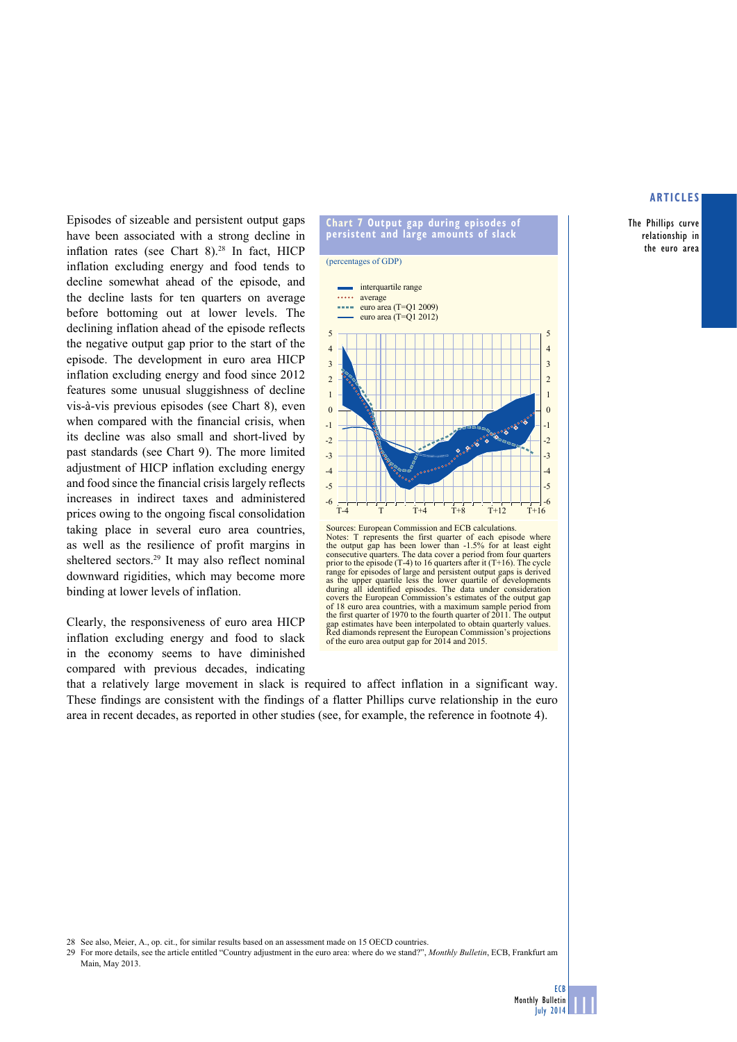The Phillips curve relationship in the euro area

Episodes of sizeable and persistent output gaps have been associated with a strong decline in inflation rates (see Chart  $8$ ).<sup>28</sup> In fact, HICP inflation excluding energy and food tends to decline somewhat ahead of the episode, and the decline lasts for ten quarters on average before bottoming out at lower levels. The declining inflation ahead of the episode reflects the negative output gap prior to the start of the episode. The development in euro area HICP inflation excluding energy and food since 2012 features some unusual sluggishness of decline vis-à-vis previous episodes (see Chart 8), even when compared with the financial crisis, when its decline was also small and short-lived by past standards (see Chart 9). The more limited adjustment of HICP inflation excluding energy and food since the financial crisis largely reflects increases in indirect taxes and administered prices owing to the ongoing fiscal consolidation taking place in several euro area countries, as well as the resilience of profit margins in sheltered sectors.<sup>29</sup> It may also reflect nominal downward rigidities, which may become more binding at lower levels of inflation.

Clearly, the responsiveness of euro area HICP inflation excluding energy and food to slack in the economy seems to have diminished compared with previous decades, indicating





that a relatively large movement in slack is required to affect inflation in a significant way. These findings are consistent with the findings of a flatter Phillips curve relationship in the euro area in recent decades, as reported in other studies (see, for example, the reference in footnote 4).

28 See also, Meier, A., op. cit., for similar results based on an assessment made on 15 OECD countries.

29 For more details, see the article entitled "Country adjustment in the euro area: where do we stand?", *Monthly Bulletin*, ECB, Frankfurt am Main, May 2013.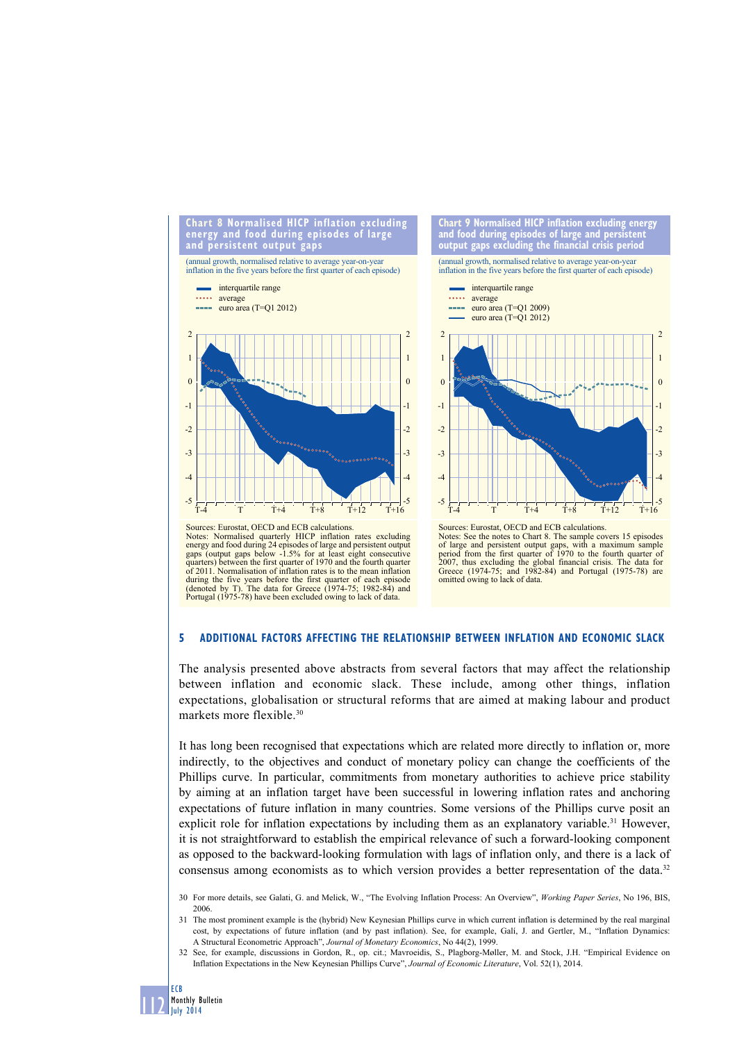

![](_page_13_Figure_1.jpeg)

Sources: Eurostat, OECD and ECB calculations. Notes: Normalised quarterly HICP inflation rates excluding energy and food during 24 episodes of large and persistent output gaps below -1.5% for at least eight consecutive quarters) between the first quarter of 1970 and the fourth quarter of 2011. Normalisation of inflation rates is to the mean inflation during the five years before the first quarter of each episode (denoted by T). The data for Greece (1974-75; 1982-84) and Portugal (1975-78) have been excluded owing to lack of data

![](_page_13_Figure_3.jpeg)

#### **5 additional factors affecting the relationship between inflation and economic slack**

The analysis presented above abstracts from several factors that may affect the relationship between inflation and economic slack. These include, among other things, inflation expectations, globalisation or structural reforms that are aimed at making labour and product markets more flexible.<sup>30</sup>

It has long been recognised that expectations which are related more directly to inflation or, more indirectly, to the objectives and conduct of monetary policy can change the coefficients of the Phillips curve. In particular, commitments from monetary authorities to achieve price stability by aiming at an inflation target have been successful in lowering inflation rates and anchoring expectations of future inflation in many countries. Some versions of the Phillips curve posit an explicit role for inflation expectations by including them as an explanatory variable.<sup>31</sup> However, it is not straightforward to establish the empirical relevance of such a forward-looking component as opposed to the backward-looking formulation with lags of inflation only, and there is a lack of consensus among economists as to which version provides a better representation of the data.<sup>32</sup>

- 30 For more details, see Galati, G. and Melick, W., "The Evolving Inflation Process: An Overview", *Working Paper Series*, No 196, BIS, 2006.
- 31 The most prominent example is the (hybrid) New Keynesian Phillips curve in which current inflation is determined by the real marginal cost, by expectations of future inflation (and by past inflation). See, for example, Galí, J. and Gertler, M., "Inflation Dynamics: A Structural Econometric Approach", *Journal of Monetary Economics*, No 44(2), 1999.
- 32 See, for example, discussions in Gordon, R., op. cit.; Mavroeidis, S., Plagborg-Møller, M. and Stock, J.H. "Empirical Evidence on Inflation Expectations in the New Keynesian Phillips Curve", *Journal of Economic Literature*, Vol. 52(1), 2014.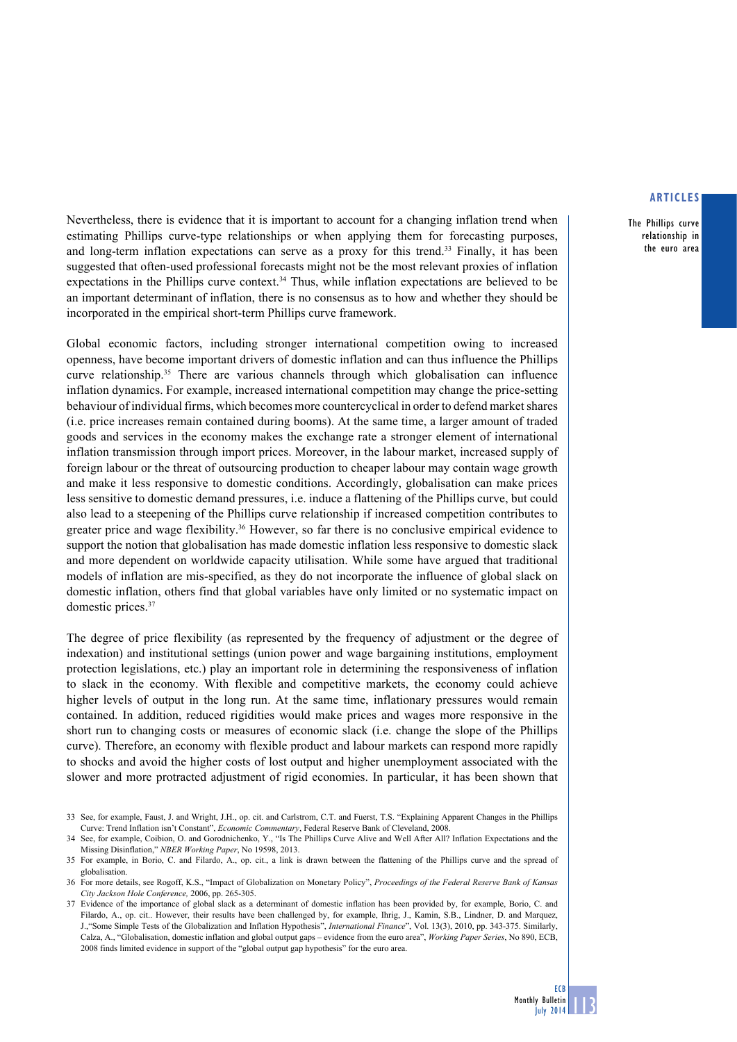The Phillips curve relationship in the euro area

Nevertheless, there is evidence that it is important to account for a changing inflation trend when estimating Phillips curve-type relationships or when applying them for forecasting purposes, and long-term inflation expectations can serve as a proxy for this trend.<sup>33</sup> Finally, it has been suggested that often-used professional forecasts might not be the most relevant proxies of inflation expectations in the Phillips curve context.<sup>34</sup> Thus, while inflation expectations are believed to be an important determinant of inflation, there is no consensus as to how and whether they should be incorporated in the empirical short-term Phillips curve framework.

Global economic factors, including stronger international competition owing to increased openness, have become important drivers of domestic inflation and can thus influence the Phillips curve relationship.<sup>35</sup> There are various channels through which globalisation can influence inflation dynamics. For example, increased international competition may change the price-setting behaviour of individual firms, which becomes more countercyclical in order to defend market shares (i.e. price increases remain contained during booms). At the same time, a larger amount of traded goods and services in the economy makes the exchange rate a stronger element of international inflation transmission through import prices. Moreover, in the labour market, increased supply of foreign labour or the threat of outsourcing production to cheaper labour may contain wage growth and make it less responsive to domestic conditions. Accordingly, globalisation can make prices less sensitive to domestic demand pressures, i.e. induce a flattening of the Phillips curve, but could also lead to a steepening of the Phillips curve relationship if increased competition contributes to greater price and wage flexibility.36 However, so far there is no conclusive empirical evidence to support the notion that globalisation has made domestic inflation less responsive to domestic slack and more dependent on worldwide capacity utilisation. While some have argued that traditional models of inflation are mis-specified, as they do not incorporate the influence of global slack on domestic inflation, others find that global variables have only limited or no systematic impact on domestic prices.37

The degree of price flexibility (as represented by the frequency of adjustment or the degree of indexation) and institutional settings (union power and wage bargaining institutions, employment protection legislations, etc.) play an important role in determining the responsiveness of inflation to slack in the economy. With flexible and competitive markets, the economy could achieve higher levels of output in the long run. At the same time, inflationary pressures would remain contained. In addition, reduced rigidities would make prices and wages more responsive in the short run to changing costs or measures of economic slack (i.e. change the slope of the Phillips curve). Therefore, an economy with flexible product and labour markets can respond more rapidly to shocks and avoid the higher costs of lost output and higher unemployment associated with the slower and more protracted adjustment of rigid economies. In particular, it has been shown that

<sup>33</sup> See, for example, Faust, J. and Wright, J.H., op. cit. and Carlstrom, C.T. and Fuerst, T.S. "Explaining Apparent Changes in the Phillips Curve: Trend Inflation isn't Constant", *Economic Commentary*, Federal Reserve Bank of Cleveland, 2008.

<sup>34</sup> See, for example, Coibion, O. and Gorodnichenko, Y., "Is The Phillips Curve Alive and Well After All? Inflation Expectations and the Missing Disinflation," *NBER Working Paper*, No 19598, 2013.

<sup>35</sup> For example, in Borio, C. and Filardo, A., op. cit., a link is drawn between the flattening of the Phillips curve and the spread of globalisation.

<sup>36</sup> For more details, see Rogoff, K.S., "Impact of Globalization on Monetary Policy", *Proceedings of the Federal Reserve Bank of Kansas City Jackson Hole Conference,* 2006, pp. 265-305.

<sup>37</sup> Evidence of the importance of global slack as a determinant of domestic inflation has been provided by, for example, Borio, C. and Filardo, A., op. cit.. However, their results have been challenged by, for example, Ihrig, J., Kamin, S.B., Lindner, D. and Marquez, J.,"Some Simple Tests of the Globalization and Inflation Hypothesis", *International Finance*", Vol. 13(3), 2010, pp. 343-375. Similarly, Calza, A., "Globalisation, domestic inflation and global output gaps – evidence from the euro area", *Working Paper Series*, No 890, ECB, 2008 finds limited evidence in support of the "global output gap hypothesis" for the euro area.